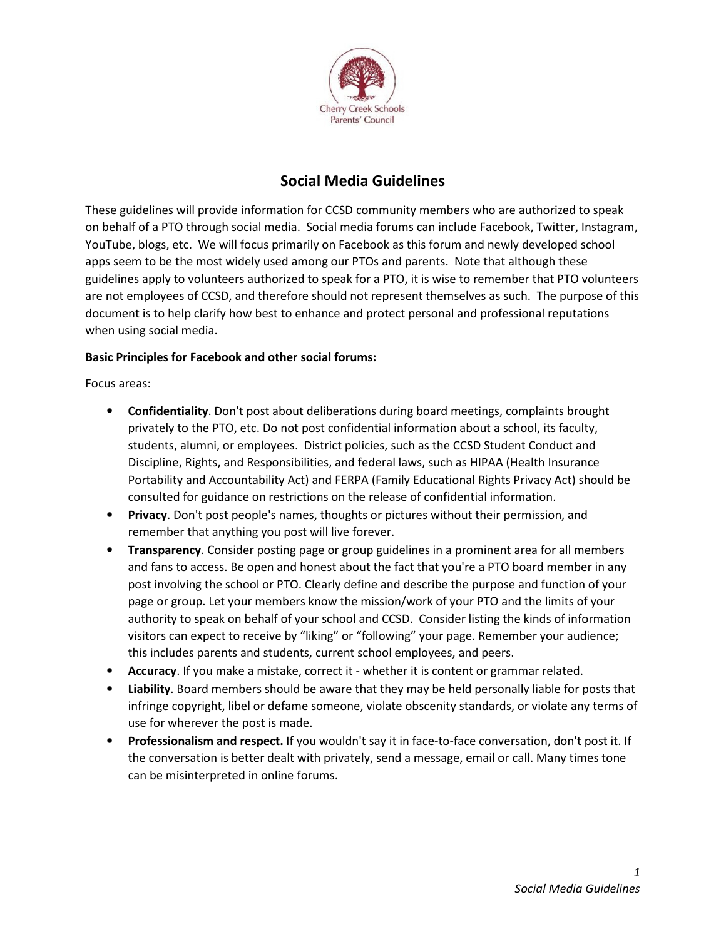

## Social Media Guidelines

These guidelines will provide information for CCSD community members who are authorized to speak on behalf of a PTO through social media. Social media forums can include Facebook, Twitter, Instagram, YouTube, blogs, etc. We will focus primarily on Facebook as this forum and newly developed school apps seem to be the most widely used among our PTOs and parents. Note that although these guidelines apply to volunteers authorized to speak for a PTO, it is wise to remember that PTO volunteers are not employees of CCSD, and therefore should not represent themselves as such. The purpose of this document is to help clarify how best to enhance and protect personal and professional reputations when using social media.

## Basic Principles for Facebook and other social forums:

Focus areas:

- Confidentiality. Don't post about deliberations during board meetings, complaints brought privately to the PTO, etc. Do not post confidential information about a school, its faculty, students, alumni, or employees. District policies, such as the CCSD Student Conduct and Discipline, Rights, and Responsibilities, and federal laws, such as HIPAA (Health Insurance Portability and Accountability Act) and FERPA (Family Educational Rights Privacy Act) should be consulted for guidance on restrictions on the release of confidential information.
- Privacy. Don't post people's names, thoughts or pictures without their permission, and remember that anything you post will live forever.
- Transparency. Consider posting page or group guidelines in a prominent area for all members and fans to access. Be open and honest about the fact that you're a PTO board member in any post involving the school or PTO. Clearly define and describe the purpose and function of your page or group. Let your members know the mission/work of your PTO and the limits of your authority to speak on behalf of your school and CCSD. Consider listing the kinds of information visitors can expect to receive by "liking" or "following" your page. Remember your audience; this includes parents and students, current school employees, and peers.
- Accuracy. If you make a mistake, correct it whether it is content or grammar related.
- Liability. Board members should be aware that they may be held personally liable for posts that infringe copyright, libel or defame someone, violate obscenity standards, or violate any terms of use for wherever the post is made.
- Professionalism and respect. If you wouldn't say it in face-to-face conversation, don't post it. If the conversation is better dealt with privately, send a message, email or call. Many times tone can be misinterpreted in online forums.